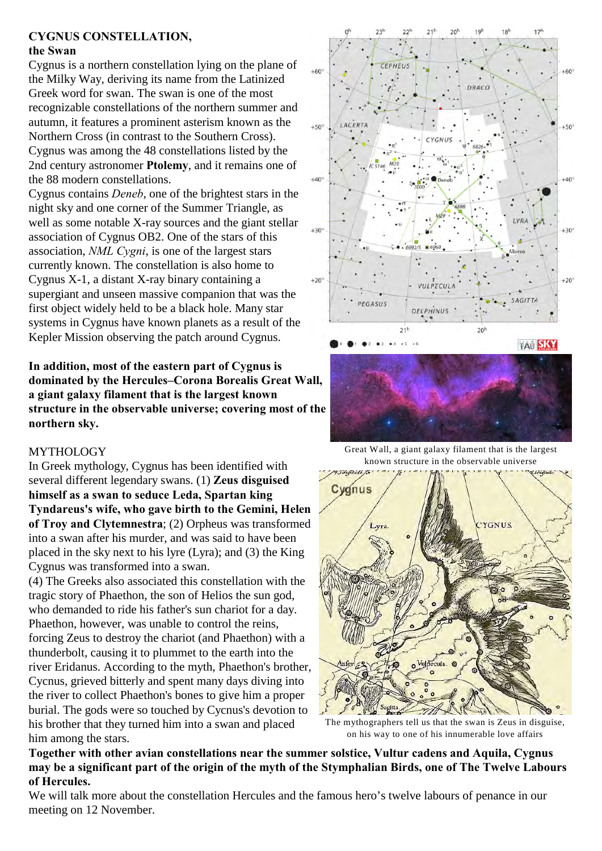# **CYGNUS CONSTELLATION,**

#### **the Swan**

Cygnus is a northern constellation lying on the plane of the Milky Way, deriving its name from the Latinized Greek word for swan. The swan is one of the most recognizable constellations of the northern summer and autumn, it features a prominent asterism known as the Northern Cross (in contrast to the Southern Cross). Cygnus was among the 48 constellations listed by the 2nd century astronomer **Ptolemy**, and it remains one of the 88 modern constellations.

Cygnus contains *Deneb*, one of the brightest stars in the night sky and one corner of the Summer Triangle, as well as some notable X-ray sources and the giant stellar association of Cygnus OB2. One of the stars of this association, *NML Cygni*, is one of the largest stars currently known. The constellation is also home to Cygnus X-1, a distant X-ray binary containing a supergiant and unseen massive companion that was the first object widely held to be a black hole. Many star systems in Cygnus have known planets as a result of the Kepler Mission observing the patch around Cygnus.

# **In addition, most of the eastern part of Cygnus is dominated by the Hercules–Corona Borealis Great Wall, a giant galaxy filament that is the largest known structure in the observable universe; covering most of the northern sky.**

### MYTHOLOGY

In Greek mythology, Cygnus has been identified with several different legendary swans. (1) **Zeus disguised himself as a swan to seduce Leda, Spartan king Tyndareus's wife, who gave birth to the Gemini, Helen of Troy and Clytemnestra**; (2) Orpheus was transformed into a swan after his murder, and was said to have been placed in the sky next to his lyre (Lyra); and (3) the King Cygnus was transformed into a swan.

(4) The Greeks also associated this constellation with the tragic story of Phaethon, the son of Helios the sun god, who demanded to ride his father's sun chariot for a day. Phaethon, however, was unable to control the reins, forcing Zeus to destroy the chariot (and Phaethon) with a thunderbolt, causing it to plummet to the earth into the river Eridanus. According to the myth, Phaethon's brother, Cycnus, grieved bitterly and spent many days diving into the river to collect Phaethon's bones to give him a proper burial. The gods were so touched by Cycnus's devotion to his brother that they turned him into a swan and placed him among the stars.





Great Wall, a giant galaxy filament that is the largest known structure in the observable universe



The mythographers tell us that the swan is Zeus in disguise, on his way to one of his innumerable love affairs

**Together with other avian constellations near the summer solstice, Vultur cadens and Aquila, Cygnus may be a significant part of the origin of the myth of the Stymphalian Birds, one of The Twelve Labours of Hercules.**

We will talk more about the constellation Hercules and the famous hero's twelve labours of penance in our meeting on 12 November.